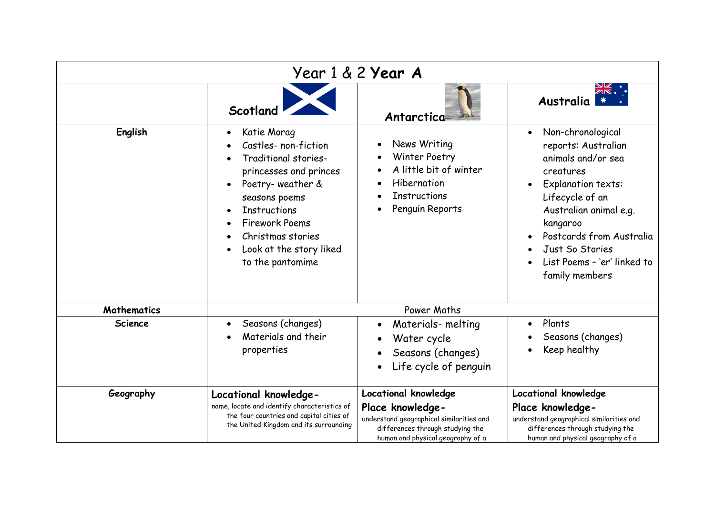| Year 1 & 2 <b>Year A</b> |                                                                                                                                                                                                                                                                                                                 |                                                                                                                                                               |                                                                                                                                                                                                                                                                         |
|--------------------------|-----------------------------------------------------------------------------------------------------------------------------------------------------------------------------------------------------------------------------------------------------------------------------------------------------------------|---------------------------------------------------------------------------------------------------------------------------------------------------------------|-------------------------------------------------------------------------------------------------------------------------------------------------------------------------------------------------------------------------------------------------------------------------|
|                          | Scotland                                                                                                                                                                                                                                                                                                        | Antarctica                                                                                                                                                    | <b>Australia</b>                                                                                                                                                                                                                                                        |
| English                  | Katie Morag<br>$\bullet$<br>Castles- non-fiction<br>Traditional stories-<br>princesses and princes<br>Poetry-weather &<br>$\bullet$<br>seasons poems<br><b>Instructions</b><br>$\bullet$<br><b>Firework Poems</b><br>$\bullet$<br>Christmas stories<br>$\bullet$<br>Look at the story liked<br>to the pantomime | News Writing<br>Winter Poetry<br>A little bit of winter<br>Hibernation<br><b>Instructions</b><br>Penguin Reports                                              | Non-chronological<br>$\bullet$<br>reports: Australian<br>animals and/or sea<br>creatures<br>Explanation texts:<br>Lifecycle of an<br>Australian animal e.g.<br>kangaroo<br>Postcards from Australia<br>Just So Stories<br>List Poems - 'er' linked to<br>family members |
| <b>Mathematics</b>       | Power Maths                                                                                                                                                                                                                                                                                                     |                                                                                                                                                               |                                                                                                                                                                                                                                                                         |
| <b>Science</b>           | Seasons (changes)<br>$\bullet$<br>Materials and their<br>properties                                                                                                                                                                                                                                             | Materials-melting<br>Water cycle<br>Seasons (changes)<br>Life cycle of penguin                                                                                | Plants<br>Seasons (changes)<br>Keep healthy                                                                                                                                                                                                                             |
| Geography                | Locational knowledge-<br>name, locate and identify characteristics of<br>the four countries and capital cities of<br>the United Kingdom and its surrounding                                                                                                                                                     | Locational knowledge<br>Place knowledge-<br>understand geographical similarities and<br>differences through studying the<br>human and physical geography of a | Locational knowledge<br>Place knowledge-<br>understand geographical similarities and<br>differences through studying the<br>human and physical geography of a                                                                                                           |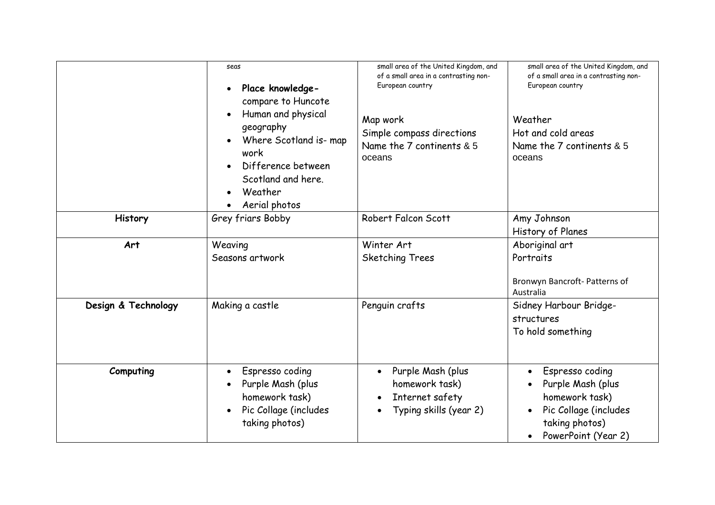|                     | seas<br>Place knowledge-<br>$\bullet$<br>compare to Huncote<br>Human and physical<br>geography<br>Where Scotland is- map<br>work<br>Difference between<br>Scotland and here.<br>Weather<br>Aerial photos<br>$\bullet$ | small area of the United Kingdom, and<br>of a small area in a contrasting non-<br>European country<br>Map work<br>Simple compass directions<br>Name the 7 continents & 5<br>oceans | small area of the United Kingdom, and<br>of a small area in a contrasting non-<br>European country<br>Weather<br>Hot and cold areas<br>Name the 7 continents & 5<br>oceans |
|---------------------|-----------------------------------------------------------------------------------------------------------------------------------------------------------------------------------------------------------------------|------------------------------------------------------------------------------------------------------------------------------------------------------------------------------------|----------------------------------------------------------------------------------------------------------------------------------------------------------------------------|
| History             | Grey friars Bobby                                                                                                                                                                                                     | Robert Falcon Scott                                                                                                                                                                | Amy Johnson<br>History of Planes                                                                                                                                           |
| Art                 | Weaving<br>Seasons artwork                                                                                                                                                                                            | Winter Art<br><b>Sketching Trees</b>                                                                                                                                               | Aboriginal art<br>Portraits<br>Bronwyn Bancroft- Patterns of<br>Australia                                                                                                  |
| Design & Technology | Making a castle                                                                                                                                                                                                       | Penguin crafts                                                                                                                                                                     | Sidney Harbour Bridge-<br>structures<br>To hold something                                                                                                                  |
| Computing           | Espresso coding<br>$\bullet$<br>Purple Mash (plus<br>homework task)<br>Pic Collage (includes<br>$\bullet$<br>taking photos)                                                                                           | Purple Mash (plus<br>homework task)<br>Internet safety<br>Typing skills (year 2)                                                                                                   | Espresso coding<br>$\bullet$<br>Purple Mash (plus<br>homework task)<br>Pic Collage (includes<br>$\bullet$<br>taking photos)<br>PowerPoint (Year 2)                         |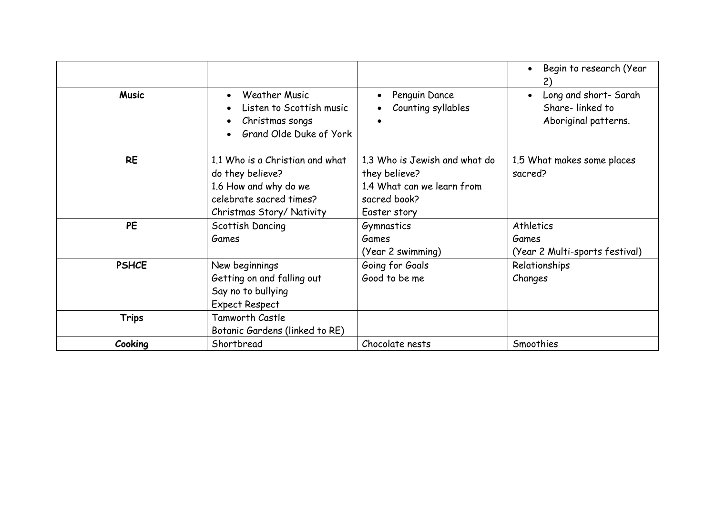|              |                                                                                                                                            |                                                                                                              | Begin to research (Year<br>$\bullet$<br>2)                       |
|--------------|--------------------------------------------------------------------------------------------------------------------------------------------|--------------------------------------------------------------------------------------------------------------|------------------------------------------------------------------|
| <b>Music</b> | <b>Weather Music</b><br>$\bullet$<br>Listen to Scottish music<br>$\bullet$<br>Christmas songs<br>٠<br>Grand Olde Duke of York<br>$\bullet$ | Penguin Dance<br>Counting syllables                                                                          | Long and short- Sarah<br>Share-linked to<br>Aboriginal patterns. |
| <b>RE</b>    | 1.1 Who is a Christian and what<br>do they believe?<br>1.6 How and why do we<br>celebrate sacred times?<br>Christmas Story/ Nativity       | 1.3 Who is Jewish and what do<br>they believe?<br>1.4 What can we learn from<br>sacred book?<br>Easter story | 1.5 What makes some places<br>sacred?                            |
| <b>PE</b>    | Scottish Dancing<br>Games                                                                                                                  | Gymnastics<br>Games<br>(Year 2 swimming)                                                                     | Athletics<br>Games<br>(Year 2 Multi-sports festival)             |
| <b>PSHCE</b> | New beginnings<br>Getting on and falling out<br>Say no to bullying<br><b>Expect Respect</b>                                                | Going for Goals<br>Good to be me                                                                             | Relationships<br>Changes                                         |
| <b>Trips</b> | <b>Tamworth Castle</b><br>Botanic Gardens (linked to RE)                                                                                   |                                                                                                              |                                                                  |
| Cooking      | Shortbread                                                                                                                                 | Chocolate nests                                                                                              | Smoothies                                                        |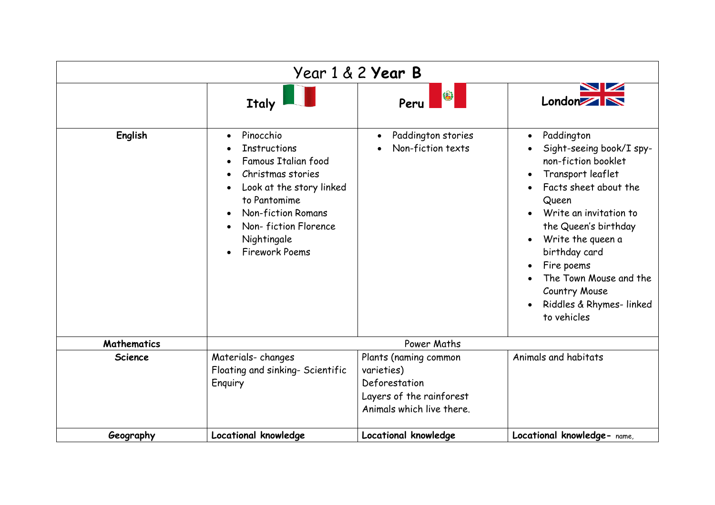| Year 1 & 2 <b>Year B</b> |                                                                                                                                                                                                                                                                                                     |                                                                                                               |                                                                                                                                                                                                                                                                                                                                                                                         |
|--------------------------|-----------------------------------------------------------------------------------------------------------------------------------------------------------------------------------------------------------------------------------------------------------------------------------------------------|---------------------------------------------------------------------------------------------------------------|-----------------------------------------------------------------------------------------------------------------------------------------------------------------------------------------------------------------------------------------------------------------------------------------------------------------------------------------------------------------------------------------|
|                          | Italy                                                                                                                                                                                                                                                                                               | 8<br>Peru                                                                                                     | London XX                                                                                                                                                                                                                                                                                                                                                                               |
| English                  | Pinocchio<br>$\bullet$<br><b>Instructions</b><br>$\bullet$<br>Famous Italian food<br>$\bullet$<br>Christmas stories<br>$\bullet$<br>Look at the story linked<br>$\bullet$<br>to Pantomime<br><b>Non-fiction Romans</b><br>$\bullet$<br>Non-fiction Florence<br>Nightingale<br><b>Firework Poems</b> | Paddington stories<br>Non-fiction texts                                                                       | Paddington<br>$\bullet$<br>Sight-seeing book/I spy-<br>non-fiction booklet<br>Transport leaflet<br>$\bullet$<br>Facts sheet about the<br>Queen<br>Write an invitation to<br>$\bullet$<br>the Queen's birthday<br>Write the queen a<br>$\bullet$<br>birthday card<br>Fire poems<br>$\bullet$<br>The Town Mouse and the<br><b>Country Mouse</b><br>Riddles & Rhymes-linked<br>to vehicles |
| <b>Mathematics</b>       | Power Maths                                                                                                                                                                                                                                                                                         |                                                                                                               |                                                                                                                                                                                                                                                                                                                                                                                         |
| Science                  | Materials-changes<br>Floating and sinking- Scientific<br>Enquiry                                                                                                                                                                                                                                    | Plants (naming common<br>varieties)<br>Deforestation<br>Layers of the rainforest<br>Animals which live there. | Animals and habitats                                                                                                                                                                                                                                                                                                                                                                    |
| Geography                | <b>Locational knowledge</b>                                                                                                                                                                                                                                                                         | Locational knowledge                                                                                          | Locational knowledge- name,                                                                                                                                                                                                                                                                                                                                                             |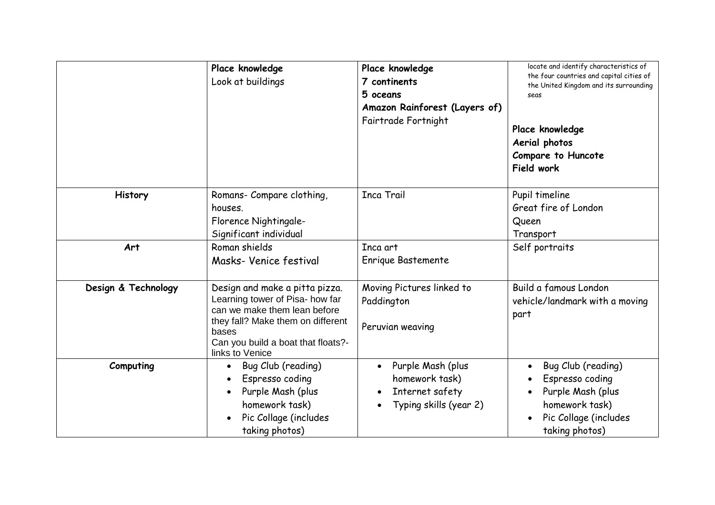|                     | Place knowledge<br>Look at buildings                                                                                                                                                                     | Place knowledge<br>7 continents<br>5 oceans<br>Amazon Rainforest (Layers of)<br>Fairtrade Fortnight | locate and identify characteristics of<br>the four countries and capital cities of<br>the United Kingdom and its surrounding<br>seas<br>Place knowledge<br>Aerial photos<br>Compare to Huncote<br>Field work |
|---------------------|----------------------------------------------------------------------------------------------------------------------------------------------------------------------------------------------------------|-----------------------------------------------------------------------------------------------------|--------------------------------------------------------------------------------------------------------------------------------------------------------------------------------------------------------------|
| History             | Romans- Compare clothing,<br>houses.<br>Florence Nightingale-<br>Significant individual                                                                                                                  | <b>Inca Trail</b>                                                                                   | Pupil timeline<br>Great fire of London<br>Queen<br>Transport                                                                                                                                                 |
| Art                 | Roman shields<br>Masks- Venice festival                                                                                                                                                                  | Inca art<br>Enrique Bastemente                                                                      | Self portraits                                                                                                                                                                                               |
| Design & Technology | Design and make a pitta pizza.<br>Learning tower of Pisa- how far<br>can we make them lean before<br>they fall? Make them on different<br>bases<br>Can you build a boat that floats?-<br>links to Venice | Moving Pictures linked to<br>Paddington<br>Peruvian weaving                                         | Build a famous London<br>vehicle/landmark with a moving<br>part                                                                                                                                              |
| Computing           | Bug Club (reading)<br>$\bullet$<br>Espresso coding<br>Purple Mash (plus<br>$\bullet$<br>homework task)<br>Pic Collage (includes<br>taking photos)                                                        | Purple Mash (plus<br>$\bullet$<br>homework task)<br>Internet safety<br>Typing skills (year 2)       | Bug Club (reading)<br>$\bullet$<br>Espresso coding<br>Purple Mash (plus<br>homework task)<br>Pic Collage (includes<br>taking photos)                                                                         |